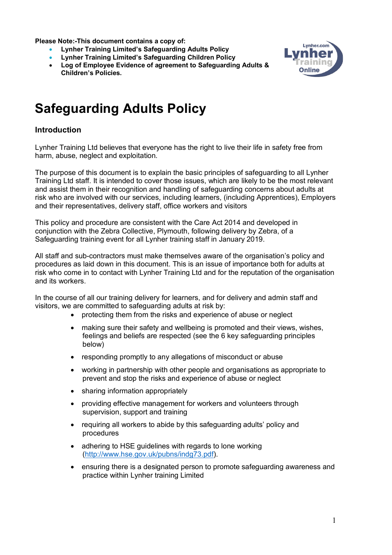**Please Note:-This document contains a copy of:**

- **Lynher Training Limited's Safeguarding Adults Policy**
- **Lynher Training Limited's Safeguarding Children Policy**
- **Log of Employee Evidence of agreement to Safeguarding Adults & Children's Policies.**



# **Safeguarding Adults Policy**

## **Introduction**

Lynher Training Ltd believes that everyone has the right to live their life in safety free from harm, abuse, neglect and exploitation.

The purpose of this document is to explain the basic principles of safeguarding to all Lynher Training Ltd staff. It is intended to cover those issues, which are likely to be the most relevant and assist them in their recognition and handling of safeguarding concerns about adults at risk who are involved with our services, including learners, (including Apprentices), Employers and their representatives, delivery staff, office workers and visitors

This policy and procedure are consistent with the Care Act 2014 and developed in conjunction with the Zebra Collective, Plymouth, following delivery by Zebra, of a Safeguarding training event for all Lynher training staff in January 2019.

All staff and sub-contractors must make themselves aware of the organisation's policy and procedures as laid down in this document. This is an issue of importance both for adults at risk who come in to contact with Lynher Training Ltd and for the reputation of the organisation and its workers.

In the course of all our training delivery for learners, and for delivery and admin staff and visitors, we are committed to safeguarding adults at risk by:

- protecting them from the risks and experience of abuse or neglect
- making sure their safety and wellbeing is promoted and their views, wishes, feelings and beliefs are respected (see the 6 key safeguarding principles below)
- responding promptly to any allegations of misconduct or abuse
- working in partnership with other people and organisations as appropriate to prevent and stop the risks and experience of abuse or neglect
- sharing information appropriately
- providing effective management for workers and volunteers through supervision, support and training
- requiring all workers to abide by this safeguarding adults' policy and procedures
- adhering to HSE quidelines with regards to lone working (http://www.hse.gov.uk/pubns/indg73.pdf).
- ensuring there is a designated person to promote safeguarding awareness and practice within Lynher training Limited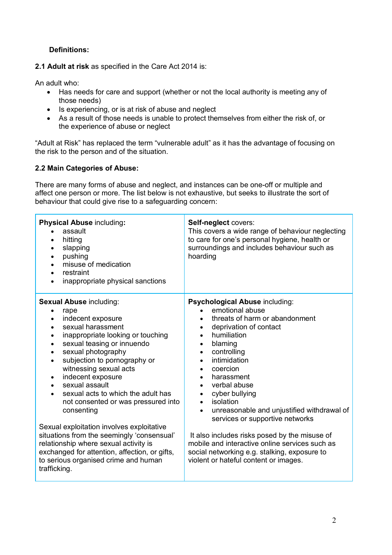## **Definitions:**

**2.1 Adult at risk** as specified in the Care Act 2014 is:

An adult who:

- Has needs for care and support (whether or not the local authority is meeting any of those needs)
- Is experiencing, or is at risk of abuse and neglect
- As a result of those needs is unable to protect themselves from either the risk of, or the experience of abuse or neglect

"Adult at Risk" has replaced the term "vulnerable adult" as it has the advantage of focusing on the risk to the person and of the situation.

## **2.2 Main Categories of Abuse:**

There are many forms of abuse and neglect, and instances can be one-off or multiple and affect one person or more. The list below is not exhaustive, but seeks to illustrate the sort of behaviour that could give rise to a safeguarding concern:

| <b>Physical Abuse including:</b><br>assault<br>hitting<br>$\bullet$<br>slapping<br>$\bullet$<br>pushing<br>$\bullet$<br>misuse of medication<br>$\bullet$<br>restraint<br>$\bullet$<br>inappropriate physical sanctions<br>$\bullet$                                                                                                                                                                                                                                                                                                                                                                                                                                                                                                    | Self-neglect covers:<br>This covers a wide range of behaviour neglecting<br>to care for one's personal hygiene, health or<br>surroundings and includes behaviour such as<br>hoarding                                                                                                                                                                                                                                                                                                                                                                                                                                                                                                                  |
|-----------------------------------------------------------------------------------------------------------------------------------------------------------------------------------------------------------------------------------------------------------------------------------------------------------------------------------------------------------------------------------------------------------------------------------------------------------------------------------------------------------------------------------------------------------------------------------------------------------------------------------------------------------------------------------------------------------------------------------------|-------------------------------------------------------------------------------------------------------------------------------------------------------------------------------------------------------------------------------------------------------------------------------------------------------------------------------------------------------------------------------------------------------------------------------------------------------------------------------------------------------------------------------------------------------------------------------------------------------------------------------------------------------------------------------------------------------|
| <b>Sexual Abuse including:</b><br>rape<br>indecent exposure<br>$\bullet$<br>sexual harassment<br>$\bullet$<br>inappropriate looking or touching<br>$\bullet$<br>sexual teasing or innuendo<br>$\bullet$<br>sexual photography<br>$\bullet$<br>subjection to pornography or<br>$\bullet$<br>witnessing sexual acts<br>indecent exposure<br>$\bullet$<br>sexual assault<br>$\bullet$<br>sexual acts to which the adult has<br>$\bullet$<br>not consented or was pressured into<br>consenting<br>Sexual exploitation involves exploitative<br>situations from the seemingly 'consensual'<br>relationship where sexual activity is<br>exchanged for attention, affection, or gifts,<br>to serious organised crime and human<br>trafficking. | Psychological Abuse including:<br>emotional abuse<br>$\bullet$<br>threats of harm or abandonment<br>$\bullet$<br>deprivation of contact<br>$\bullet$<br>humiliation<br>$\bullet$<br>blaming<br>$\bullet$<br>controlling<br>$\bullet$<br>intimidation<br>$\bullet$<br>coercion<br>$\bullet$<br>harassment<br>$\bullet$<br>verbal abuse<br>$\bullet$<br>cyber bullying<br>$\bullet$<br>isolation<br>$\bullet$<br>unreasonable and unjustified withdrawal of<br>$\bullet$<br>services or supportive networks<br>It also includes risks posed by the misuse of<br>mobile and interactive online services such as<br>social networking e.g. stalking, exposure to<br>violent or hateful content or images. |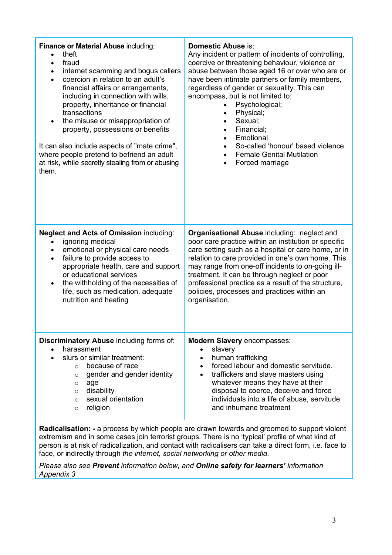| Finance or Material Abuse including:<br>theft<br>fraud<br>$\bullet$<br>internet scamming and bogus callers<br>$\bullet$<br>coercion in relation to an adult's<br>$\bullet$<br>financial affairs or arrangements,<br>including in connection with wills,<br>property, inheritance or financial<br>transactions<br>the misuse or misappropriation of<br>$\bullet$<br>property, possessions or benefits<br>It can also include aspects of "mate crime",<br>where people pretend to befriend an adult<br>at risk, while secretly stealing from or abusing<br>them. | <b>Domestic Abuse is:</b><br>Any incident or pattern of incidents of controlling,<br>coercive or threatening behaviour, violence or<br>abuse between those aged 16 or over who are or<br>have been intimate partners or family members,<br>regardless of gender or sexuality. This can<br>encompass, but is not limited to:<br>Psychological;<br>Physical;<br>Sexual;<br>Financial;<br>Emotional<br>$\bullet$<br>So-called 'honour' based violence<br><b>Female Genital Mutilation</b><br>Forced marriage |
|----------------------------------------------------------------------------------------------------------------------------------------------------------------------------------------------------------------------------------------------------------------------------------------------------------------------------------------------------------------------------------------------------------------------------------------------------------------------------------------------------------------------------------------------------------------|-----------------------------------------------------------------------------------------------------------------------------------------------------------------------------------------------------------------------------------------------------------------------------------------------------------------------------------------------------------------------------------------------------------------------------------------------------------------------------------------------------------|
| <b>Neglect and Acts of Omission including:</b><br>ignoring medical<br>$\bullet$<br>emotional or physical care needs<br>$\bullet$<br>failure to provide access to<br>$\bullet$<br>appropriate health, care and support<br>or educational services<br>the withholding of the necessities of<br>$\bullet$<br>life, such as medication, adequate<br>nutrition and heating                                                                                                                                                                                          | Organisational Abuse including: neglect and<br>poor care practice within an institution or specific<br>care setting such as a hospital or care home, or in<br>relation to care provided in one's own home. This<br>may range from one-off incidents to on-going ill-<br>treatment. It can be through neglect or poor<br>professional practice as a result of the structure,<br>policies, processes and practices within an<br>organisation.                                                               |
| Discriminatory Abuse including forms of:<br>harassment<br>slurs or similar treatment:<br>because of race<br>$\circ$<br>gender and gender identity<br>O<br>age<br>O<br>disability<br>$\circ$<br>sexual orientation<br>$\circ$<br>religion<br>$\circ$                                                                                                                                                                                                                                                                                                            | <b>Modern Slavery encompasses:</b><br>slavery<br>human trafficking<br>$\bullet$<br>forced labour and domestic servitude.<br>$\bullet$<br>traffickers and slave masters using<br>$\bullet$<br>whatever means they have at their<br>disposal to coerce, deceive and force<br>individuals into a life of abuse, servitude<br>and inhumane treatment                                                                                                                                                          |

**Radicalisation: -** a process by which people are drawn towards and groomed to support violent extremism and in some cases join terrorist groups. There is no 'typical' profile of what kind of person is at risk of radicalization, and contact with radicalisers can take a direct form, i.e. face to face, or indirectly through *the internet, social networking or other media.* 

*Please also see Prevent information below, and Online safety for learners' information Appendix 3*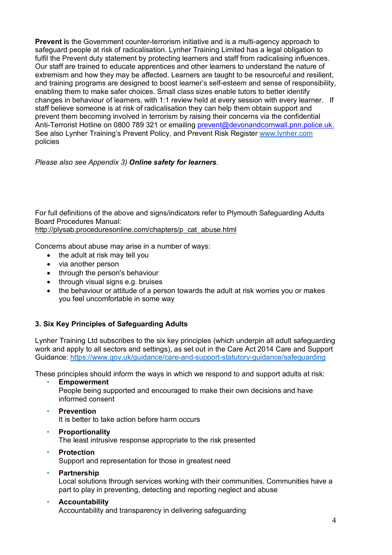**Prevent i**s the Government counter-terrorism initiative and is a multi-agency approach to safeguard people at risk of radicalisation. Lynher Training Limited has a legal obligation to fulfil the Prevent duty statement by protecting learners and staff from radicalising influences. Our staff are trained to educate apprentices and other learners to understand the nature of extremism and how they may be affected. Learners are taught to be resourceful and resilient, and training programs are designed to boost learner's self-esteem and sense of responsibility, enabling them to make safer choices. Small class sizes enable tutors to better identify changes in behaviour of learners, with 1:1 review held at every session with every learner. If staff believe someone is at risk of radicalisation they can help them obtain support and prevent them becoming involved in terrorism by raising their concerns via the confidential Anti-Terrorist Hotline on 0800 789 321 or emailing prevent@devonandcornwall.pnn.police.uk. See also Lynher Training's Prevent Policy, and Prevent Risk Register www.lynher.com policies

*Please also see Appendix 3) Online safety for learners.*

For full definitions of the above and signs/indicators refer to Plymouth Safeguarding Adults Board Procedures Manual: http://plysab.proceduresonline.com/chapters/p\_cat\_abuse.html

Concerns about abuse may arise in a number of ways:

- the adult at risk may tell you
- via another person
- through the person's behaviour
- through visual signs e.g. bruises
- the behaviour or attitude of a person towards the adult at risk worries you or makes you feel uncomfortable in some way

## **3. Six Key Principles of Safeguarding Adults**

Lynher Training Ltd subscribes to the six key principles (which underpin all adult safeguarding work and apply to all sectors and settings), as set out in the Care Act 2014 Care and Support Guidance: https://www.gov.uk/guidance/care-and-support-statutory-guidance/safeguarding

These principles should inform the ways in which we respond to and support adults at risk:

- **Empowerment** People being supported and encouraged to make their own decisions and have informed consent
- **Prevention**

It is better to take action before harm occurs

- **Proportionality** The least intrusive response appropriate to the risk presented
- **Protection**  Support and representation for those in greatest need
- **Partnership** Local solutions through services working with their communities. Communities have a part to play in preventing, detecting and reporting neglect and abuse
- **Accountability** Accountability and transparency in delivering safeguarding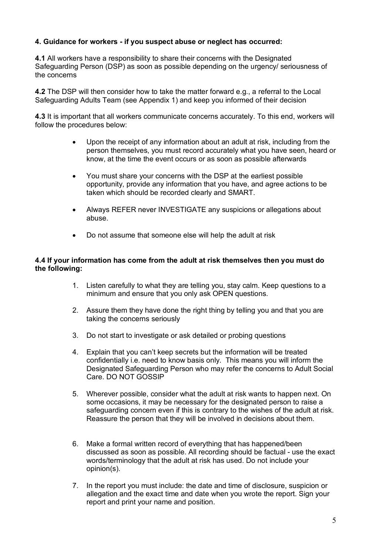## **4. Guidance for workers - if you suspect abuse or neglect has occurred:**

**4.1** All workers have a responsibility to share their concerns with the Designated Safeguarding Person (DSP) as soon as possible depending on the urgency/ seriousness of the concerns

**4.2** The DSP will then consider how to take the matter forward e.g., a referral to the Local Safeguarding Adults Team (see Appendix 1) and keep you informed of their decision

**4.3** It is important that all workers communicate concerns accurately. To this end, workers will follow the procedures below:

- Upon the receipt of any information about an adult at risk, including from the person themselves, you must record accurately what you have seen, heard or know, at the time the event occurs or as soon as possible afterwards
- You must share your concerns with the DSP at the earliest possible opportunity, provide any information that you have, and agree actions to be taken which should be recorded clearly and SMART.
- Always REFER never INVESTIGATE any suspicions or allegations about abuse.
- Do not assume that someone else will help the adult at risk

#### **4.4 If your information has come from the adult at risk themselves then you must do the following:**

- 1. Listen carefully to what they are telling you, stay calm. Keep questions to a minimum and ensure that you only ask OPEN questions.
- 2. Assure them they have done the right thing by telling you and that you are taking the concerns seriously
- 3. Do not start to investigate or ask detailed or probing questions
- 4. Explain that you can't keep secrets but the information will be treated confidentially i.e. need to know basis only. This means you will inform the Designated Safeguarding Person who may refer the concerns to Adult Social Care. DO NOT GOSSIP
- 5. Wherever possible, consider what the adult at risk wants to happen next. On some occasions, it may be necessary for the designated person to raise a safeguarding concern even if this is contrary to the wishes of the adult at risk. Reassure the person that they will be involved in decisions about them.
- 6. Make a formal written record of everything that has happened/been discussed as soon as possible. All recording should be factual - use the exact words/terminology that the adult at risk has used. Do not include your opinion(s).
- 7. In the report you must include: the date and time of disclosure, suspicion or allegation and the exact time and date when you wrote the report. Sign your report and print your name and position.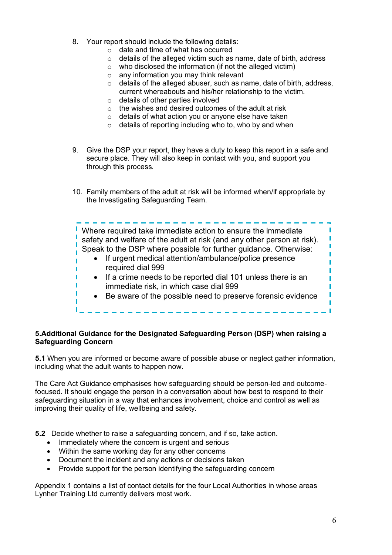- 8. Your report should include the following details:
	- o date and time of what has occurred
	- $\circ$  details of the alleged victim such as name, date of birth, address
	- o who disclosed the information (if not the alleged victim)
	- $\circ$  any information you may think relevant
	- $\circ$  details of the alleged abuser, such as name, date of birth, address, current whereabouts and his/her relationship to the victim.
	- o details of other parties involved
	- o the wishes and desired outcomes of the adult at risk
	- o details of what action you or anyone else have taken
	- o details of reporting including who to, who by and when
- 9. Give the DSP your report, they have a duty to keep this report in a safe and secure place. They will also keep in contact with you, and support you through this process.
- 10. Family members of the adult at risk will be informed when/if appropriate by the Investigating Safeguarding Team.

Where required take immediate action to ensure the immediate safety and welfare of the adult at risk (and any other person at risk). Speak to the DSP where possible for further guidance. Otherwise:

. . . . . . . . . . . . . . . . . . . .

- If urgent medical attention/ambulance/police presence required dial 999
- If a crime needs to be reported dial 101 unless there is an immediate risk, in which case dial 999
- Be aware of the possible need to preserve forensic evidence

## **5.Additional Guidance for the Designated Safeguarding Person (DSP) when raising a Safeguarding Concern**

**5.1** When you are informed or become aware of possible abuse or neglect gather information, including what the adult wants to happen now.

The Care Act Guidance emphasises how safeguarding should be person-led and outcomefocused. It should engage the person in a conversation about how best to respond to their safeguarding situation in a way that enhances involvement, choice and control as well as improving their quality of life, wellbeing and safety.

**5.2** Decide whether to raise a safeguarding concern, and if so, take action.

• Immediately where the concern is urgent and serious

I

ı П

- Within the same working day for any other concerns
- Document the incident and any actions or decisions taken
- Provide support for the person identifying the safeguarding concern

Appendix 1 contains a list of contact details for the four Local Authorities in whose areas Lynher Training Ltd currently delivers most work.

ī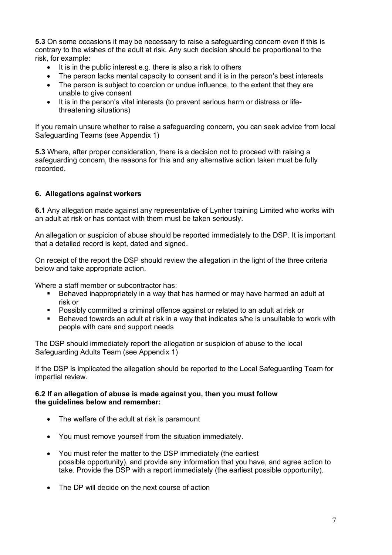**5.3** On some occasions it may be necessary to raise a safeguarding concern even if this is contrary to the wishes of the adult at risk. Any such decision should be proportional to the risk, for example:

- It is in the public interest e.g. there is also a risk to others
- The person lacks mental capacity to consent and it is in the person's best interests
- The person is subject to coercion or undue influence, to the extent that they are unable to give consent
- It is in the person's vital interests (to prevent serious harm or distress or lifethreatening situations)

If you remain unsure whether to raise a safeguarding concern, you can seek advice from local Safeguarding Teams (see Appendix 1)

**5.3** Where, after proper consideration, there is a decision not to proceed with raising a safeguarding concern, the reasons for this and any alternative action taken must be fully recorded.

## **6. Allegations against workers**

**6.1** Any allegation made against any representative of Lynher training Limited who works with an adult at risk or has contact with them must be taken seriously.

An allegation or suspicion of abuse should be reported immediately to the DSP. It is important that a detailed record is kept, dated and signed.

On receipt of the report the DSP should review the allegation in the light of the three criteria below and take appropriate action.

Where a staff member or subcontractor has:

- § Behaved inappropriately in a way that has harmed or may have harmed an adult at risk or
- § Possibly committed a criminal offence against or related to an adult at risk or
- Behaved towards an adult at risk in a way that indicates s/he is unsuitable to work with people with care and support needs

The DSP should immediately report the allegation or suspicion of abuse to the local Safeguarding Adults Team (see Appendix 1)

If the DSP is implicated the allegation should be reported to the Local Safeguarding Team for impartial review.

#### **6.2 If an allegation of abuse is made against you, then you must follow the guidelines below and remember:**

- The welfare of the adult at risk is paramount
- You must remove yourself from the situation immediately.
- You must refer the matter to the DSP immediately (the earliest possible opportunity), and provide any information that you have, and agree action to take. Provide the DSP with a report immediately (the earliest possible opportunity).
- The DP will decide on the next course of action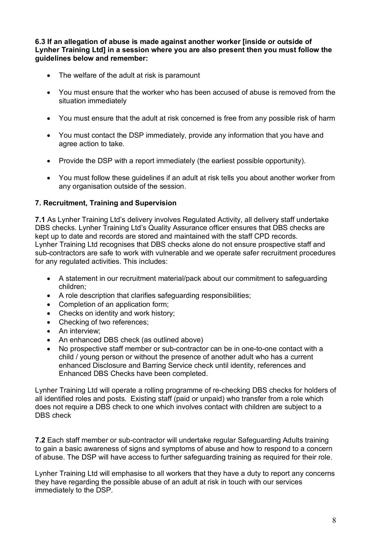**6.3 If an allegation of abuse is made against another worker [inside or outside of Lynher Training Ltd] in a session where you are also present then you must follow the guidelines below and remember:** 

- The welfare of the adult at risk is paramount
- You must ensure that the worker who has been accused of abuse is removed from the situation immediately
- You must ensure that the adult at risk concerned is free from any possible risk of harm
- You must contact the DSP immediately, provide any information that you have and agree action to take.
- Provide the DSP with a report immediately (the earliest possible opportunity).
- You must follow these guidelines if an adult at risk tells you about another worker from any organisation outside of the session.

## **7. Recruitment, Training and Supervision**

**7.1** As Lynher Training Ltd's delivery involves Regulated Activity, all delivery staff undertake DBS checks. Lynher Training Ltd's Quality Assurance officer ensures that DBS checks are kept up to date and records are stored and maintained with the staff CPD records. Lynher Training Ltd recognises that DBS checks alone do not ensure prospective staff and sub-contractors are safe to work with vulnerable and we operate safer recruitment procedures for any regulated activities. This includes:

- A statement in our recruitment material/pack about our commitment to safeguarding children;
- A role description that clarifies safeguarding responsibilities;
- Completion of an application form;
- Checks on identity and work history;
- Checking of two references:
- An interview;
- An enhanced DBS check (as outlined above)
- No prospective staff member or sub-contractor can be in one-to-one contact with a child / young person or without the presence of another adult who has a current enhanced Disclosure and Barring Service check until identity, references and Enhanced DBS Checks have been completed.

Lynher Training Ltd will operate a rolling programme of re-checking DBS checks for holders of all identified roles and posts. Existing staff (paid or unpaid) who transfer from a role which does not require a DBS check to one which involves contact with children are subject to a DBS check

**7.2** Each staff member or sub-contractor will undertake regular Safeguarding Adults training to gain a basic awareness of signs and symptoms of abuse and how to respond to a concern of abuse. The DSP will have access to further safeguarding training as required for their role.

Lynher Training Ltd will emphasise to all workers that they have a duty to report any concerns they have regarding the possible abuse of an adult at risk in touch with our services immediately to the DSP.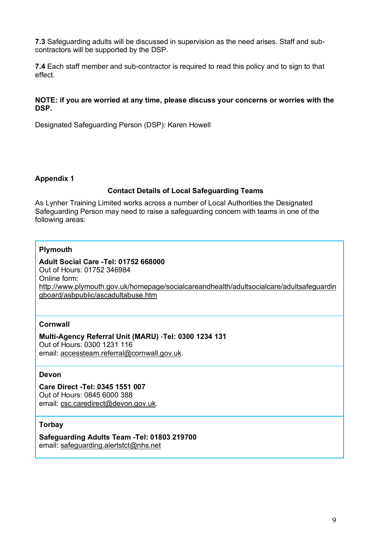**7.3** Safeguarding adults will be discussed in supervision as the need arises. Staff and subcontractors will be supported by the DSP.

**7.4** Each staff member and sub-contractor is required to read this policy and to sign to that effect.

#### **NOTE: if you are worried at any time, please discuss your concerns or worries with the DSP.**

Designated Safeguarding Person (DSP): Karen Howell

#### **Appendix 1**

#### **Contact Details of Local Safeguarding Teams**

As Lynher Training Limited works across a number of Local Authorities the Designated Safeguarding Person may need to raise a safeguarding concern with teams in one of the following areas:

#### **Plymouth**

#### **Adult Social Care -Tel: 01752 668000** Out of Hours: 01752 346984 Online form: http://www.plymouth.gov.uk/homepage/socialcareandhealth/adultsocialcare/adultsafeguardin gboard/asbpublic/ascadultabuse.htm

#### **Cornwall**

#### **Multi-Agency Referral Unit (MARU)** -**Tel: 0300 1234 131**

Out of Hours: 0300 1231 116 email: accessteam.referral@cornwall.gov.uk.

## **Devon**

**Care Direct -Tel: 0345 1551 007**  Out of Hours: 0845 6000 388 email: csc.caredirect@devon.gov.uk.

#### **Torbay**

**Safeguarding Adults Team -Tel: 01803 219700** email: safeguarding.alertstct@nhs.net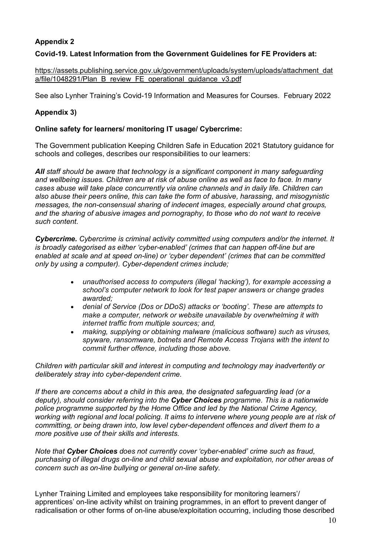## **Appendix 2**

## **Covid-19. Latest Information from the Government Guidelines for FE Providers at:**

https://assets.publishing.service.gov.uk/government/uploads/system/uploads/attachment\_dat a/file/1048291/Plan\_B\_review\_FE\_operational\_quidance\_v3.pdf

See also Lynher Training's Covid-19 Information and Measures for Courses. February 2022

## **Appendix 3)**

#### **Online safety for learners/ monitoring IT usage/ Cybercrime:**

The Government publication Keeping Children Safe in Education 2021 Statutory guidance for schools and colleges, describes our responsibilities to our learners:

*All staff should be aware that technology is a significant component in many safeguarding and wellbeing issues. Children are at risk of abuse online as well as face to face. In many cases abuse will take place concurrently via online channels and in daily life. Children can also abuse their peers online, this can take the form of abusive, harassing, and misogynistic messages, the non-consensual sharing of indecent images, especially around chat groups, and the sharing of abusive images and pornography, to those who do not want to receive such content.* 

*Cybercrime. Cybercrime is criminal activity committed using computers and/or the internet. It is broadly categorised as either 'cyber-enabled' (crimes that can happen off-line but are enabled at scale and at speed on-line) or 'cyber dependent' (crimes that can be committed only by using a computer). Cyber-dependent crimes include;* 

- *unauthorised access to computers (illegal 'hacking'), for example accessing a school's computer network to look for test paper answers or change grades awarded;*
- *denial of Service (Dos or DDoS) attacks or 'booting'. These are attempts to make a computer, network or website unavailable by overwhelming it with internet traffic from multiple sources; and,*
- *making, supplying or obtaining malware (malicious software) such as viruses, spyware, ransomware, botnets and Remote Access Trojans with the intent to commit further offence, including those above.*

*Children with particular skill and interest in computing and technology may inadvertently or deliberately stray into cyber-dependent crime.* 

*If there are concerns about a child in this area, the designated safeguarding lead (or a deputy), should consider referring into the Cyber Choices programme. This is a nationwide police programme supported by the Home Office and led by the National Crime Agency, working with regional and local policing. It aims to intervene where young people are at risk of committing, or being drawn into, low level cyber-dependent offences and divert them to a more positive use of their skills and interests.* 

*Note that Cyber Choices does not currently cover 'cyber-enabled' crime such as fraud, purchasing of illegal drugs on-line and child sexual abuse and exploitation, nor other areas of concern such as on-line bullying or general on-line safety.* 

Lynher Training Limited and employees take responsibility for monitoring learners'/ apprentices' on-line activity whilst on training programmes, in an effort to prevent danger of radicalisation or other forms of on-line abuse/exploitation occurring, including those described